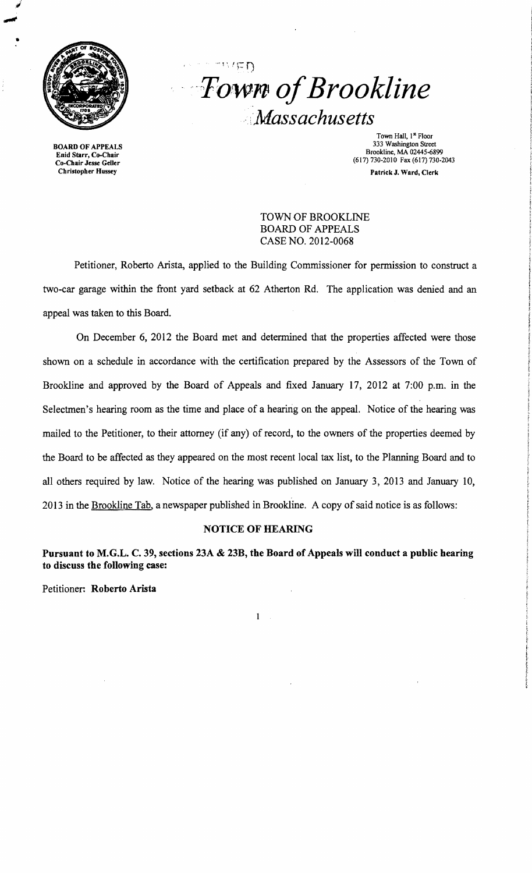

•

Enid Starr, Co-Chair<br>Co-Chair Jesse Geller

 $"V' \nsubseteq D$ *Town ofBrookline* :*Massachusetts* 

Town Hall, 1<sup>st</sup> Floor<br>333 Washington Street 333 Washington Street 333 Washington Street 333 Washington Street<br>
Finid Starr, Co-Chair eniu Stari, Co-Chair<br>Co-Chair Jesse Geller<br>Christopher Hussey Patrick J. Ward, Clerk Patrick J. Ward, Clerk Patrick J. Ward, Clerk

> TOWN OF BROOKLINE BOARD OF APPEALS CASE NO. 2012-0068

Petitioner, Roberto Arista, applied to the Building Commissioner for permission to construct a two-car garage within the front yard setback at 62 Atherton Rd. The application was denied and an appeal was taken to this Board.

On December 6, 2012 the Board met and detennined that the properties affected were those shown on a schedule in accordance with the certification prepared by the Assessors of the Town of Brookline and approved by the Board of Appeals and fixed January 17, 2012 at 7:00 p.m. in the Selectmen's hearing room as the time and place of a hearing on the appeal. Notice of the hearing was mailed to the Petitioner, to their attorney (if any) of record, to the owners of the properties deemed by the Board to be affected as they appeared on the most recent local tax list, to the Planning Board and to all others required by law. Notice of the hearing was published on January 3, 2013 and January 10, 2013 in the Brookline Tab, a newspaper published in Brookline. A copy of said notice is as follows:

## NOTICE OF HEARING

Pursuant to M.G.L. C. 39, sections 23A & 23B, the Board of Appeals will conduct a public hearing to discuss the following case:

 $\mathbf{1}$ 

Petitioner: Roberto Arista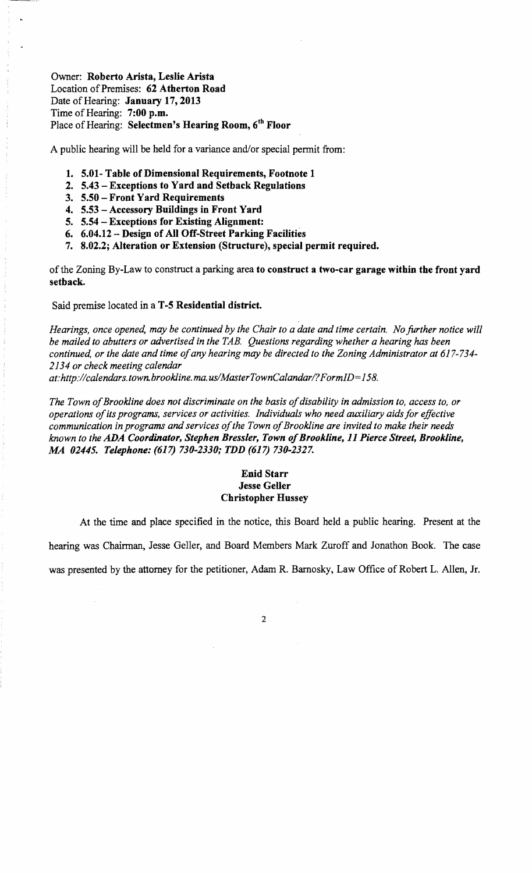Owner: Roberto Arista, Leslie Arista Location of Premises: 62 Atherton Road Date of Hearing: January 17, 2013 Time of Hearing: 7:00 p.m. Place of Hearing: Selectmen's Hearing Room, 6<sup>th</sup> Floor

A public hearing will be held for a variance and/or special permit from:

- 1. 5.01- Table of Dimensional Requirements, Footnote 1
- 2. 5.43 Exceptions to Yard and Setback Regulations
- 3. 5.50 Front Yard Requirements
- 4. 5.53 Accessory Buildings in Front Yard
- 5. 5.54 Exceptions for Existing Alignment:
- 6. 6.04.12 Design of All Off-Street Parking Facilities
- 7. 8.02.2; Alteration or Extension (Structure), special permit required.

of the Zoning By-Law to construct a parking area to construct a two-car garage within the front yard setback.

Said premise located in a T -5 Residential district.

*Hearings, once opened, may be continued by the Chair to a date and time certain. No further notice will be mailed to abutters or advertised in the TAB. Questions regarding whether a hearing has been continued, or the date and time ofany hearing may be directed to the Zoning Administrator at 617-734 2134 or check meeting calendar at: http://calendars.town.brookline.ma.usIMasterTownCalandarl? FormID= 158.* 

*The Town ofBrookline does not discriminate on the basis ofdisability in admission to, access to, or operations ofits programs, services or activities. Individuals who need auxiliary aids for effective*  communication in programs and services of the Town of Brookline are invited to make their needs *known to the ADA Coordinator, Stephen Bressler, Town ofBrookline,* 11 *Pierce Street, Brookline, MA 02445. Telephone:* (617) *730-2330; TDD* (617) *730-2327.* 

## Enid Starr Jesse Geller Christopher Hussey

At the time and place specified in the notice, this Board held a public hearing. Present at the hearing was Chairman, Jesse Geller, and Board Members Mark Zuroff and Jonathon Book. The case was presented by the attorney for the petitioner, Adam R. Bamosky, Law Office of Robert L. Allen, Jr.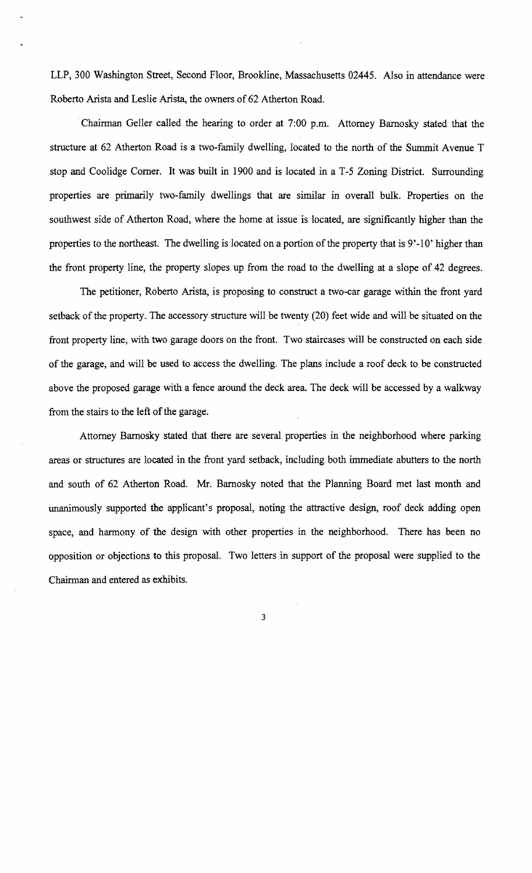LLP, 300 Washington Street, Second Floor, Brookline, Massachusetts 02445. Also in attendance were Roberto Arista and Leslie Arista, the owners of 62 Atherton Road .

. Chainnan Geller called the hearing to order at 7:00 p.m. Attorney Bamosky stated that the structure at 62 Atherton Road is a two-family dwelling. located to the north of the Summit Avenue T stop and Coolidge Comer. It was built in 1900 and is located in a T-5 Zoning District. Surrounding properties are primarily two-family dwellings that are similar in overall bulk. Properties on the southwest side of Atherton Road, where the home at issue is located, are significantly higher than the properties to the northeast. The dwelling is located on a portion of the property that is 9'-10' higher than the front property line, the property slopes up from the road to the dwelling at a slope of 42 degrees.

The petitioner, Roberto Arista, is proposing to construct a two-car garage within the front yard setback of the property. The accessory structure will be twenty (20) feet wide and will be situated on the front property line, with two garage doors on the front. Two staircases will be constructed on each side of the garage, and will be used to access the dwelling. The plans include a roof deck to be constructed above the proposed garage with a fence around the deck area. The deck will be accessed by a walkway from the stairs to the left of the garage.

Attorney Bamosky stated that there are several properties in the neighborhood where parking areas or structures are located in the front yard setback, including both immediate abutters to the north and south of 62 Atherton Road. Mr. Bamosky noted that the Planning Board met last month and unanimously supported the applicant's proposal, noting the attractive design, roof deck adding open space, and harmony of the design with other properties in the neighborhood. There has been no opposition or objections to this proposal. Two letters in support of the proposal were supplied to the Chairman and entered as exhibits.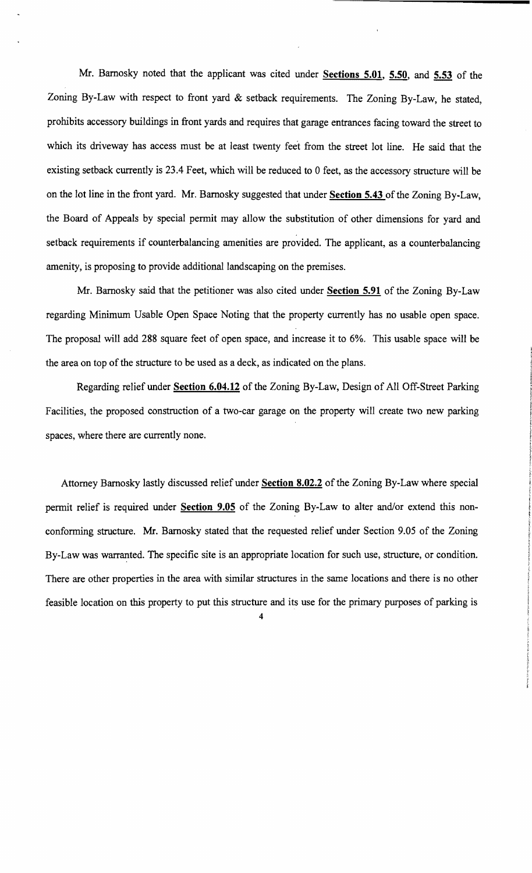Mr. Barnosky noted that the applicant was cited under **Sections 5.01**, 5.50, and 5.53 of the Zoning By-Law with respect to front yard & setback requirements. The Zoning By-Law, he stated, prohibits accessory buildings in front yards and requires that garage entrances facing toward the street to which its driveway has access must be at least twenty feet from the street lot line. He said that the existing setback currently is 23.4 Feet, which will be reduced to 0 feet, as the accessory structure will be on the lot line in the front yard. Mr. Barnosky suggested that under **Section 5.43** of the Zoning By-Law, the Board of Appeals by special permit may allow the substitution of other dimensions for yard and setback requirements if counterbalancing amenities are provided. The applicant, as a counterbalancing amenity, is proposing to provide additional landscaping on the premises.

Mr. Barnosky said that the petitioner was also cited under **Section 5.91** of the Zoning By-Law regarding Minimum Usable Open Space Noting that the property currently has no usable open space. The proposal will add 288 square feet of open space, and increase it to 6%. This usable space will be the area on top of the structure to be used as a deck, as indicated on the plans.

Regarding relief under **Section 6.04.12** of the Zoning By-Law, Design of All Off-Street Parking Facilities, the proposed construction of a two-car garage on the property will create two new parking spaces, where there are currently none.

Attorney Barnosky lastly discussed relief under **Section 8.02.2** of the Zoning By-Law where special permit relief is required under **Section 9.05** of the Zoning By-Law to alter and/or extend this nonconforming structure. Mr. Barnosky stated that the requested relief under Section 9.05 of the Zoning By-Law was warranted. The specific site is an appropriate location for such use, structure, or condition. There are other properties in the area with similar structures in the same locations and there is no other feasible location on this property to put this structure and its use for the primary purposes of parking is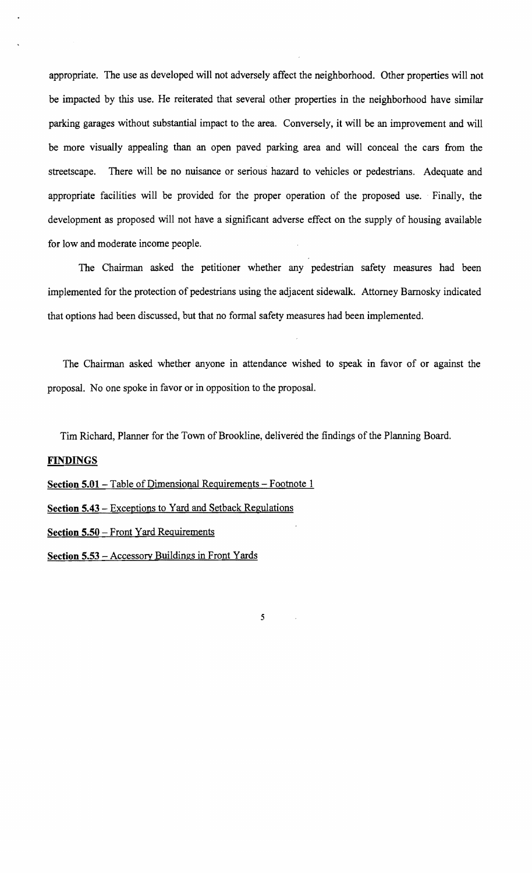appropriate. The use as developed will not adversely affect the neighborhood. Other properties will not be impacted by this use. He reiterated that several other properties in the neighborhood have similar parking garages without substantial impact to the area. Conversely, it will be an improvement and will be more visually appealing than an open paved parking area and will conceal the cars from the streetscape. There will be no nuisance or serious hazard to vehicles or pedestrians. Adequate and appropriate facilities will be provided for the proper operation of the proposed use. Finally, the development as proposed will not have a significant adverse effect on the supply of housing available for low and moderate income people.

The Chairman asked the petitioner whether any pedestrian safety measures had been implemented for the protection of pedestrians using the adjacent sidewalk. Attorney Bamosky indicated that options had been discussed, but that no formal safety measures had been implemented.

The Chairman asked whether anyone in attendance wished to speak in favor of or against the proposal. No one spoke in favor or in opposition to the proposal.

Tim Richard, Planner for the Town of Brookline, delivered the findings of the Planning Board.

5

## FINDINGS

Section 5.01 - Table of Dimensional Requirements - Footnote 1

Section 5.43 - Exceptions to Yard and Setback Regulations

Section 5.50 - Front Yard Requirements

Section 5.53 - Accessory Buildings in Front Yards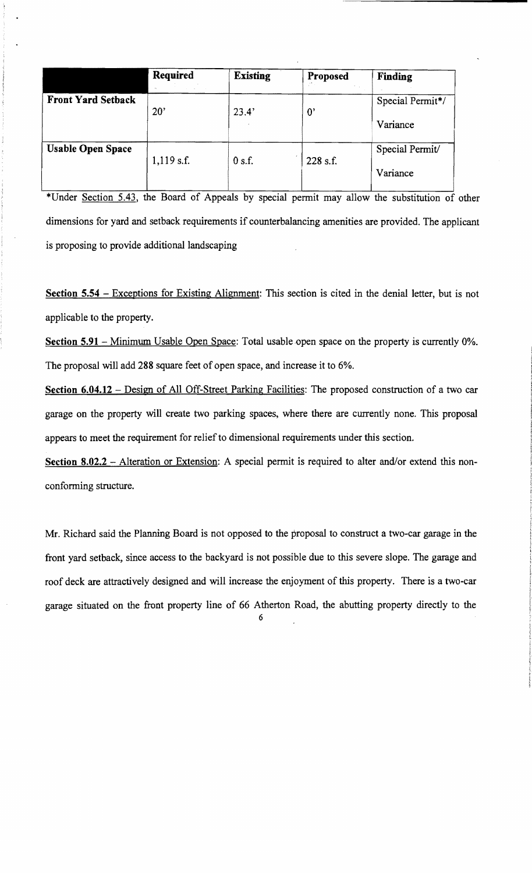|                           | Required     | <b>Existing</b> | Proposed    | Finding          |
|---------------------------|--------------|-----------------|-------------|------------------|
| <b>Front Yard Setback</b> | 20'          | 23.4'           | $0^{\circ}$ | Special Permit*/ |
|                           |              |                 |             | Variance         |
| <b>Usable Open Space</b>  | $1,119$ s.f. | 0 s.f.          | 228 s.f.    | Special Permit/  |
|                           |              |                 |             | Variance         |

\*Under Section 5.43, the Board of Appeals by special permit may allow the substitution of other dimensions for yard and setback requirements if counterbalancing amenities are provided. The applicant is proposing to provide additional landscaping

**Section 5.54** – Exceptions for Existing Alignment: This section is cited in the denial letter, but is not applicable to the property.

**Section 5.91** – Minimum Usable Open Space: Total usable open space on the property is currently 0%. The proposal will add 288 square feet of open space, and increase it to 6%.

**Section 6.04.12** – Design of All Off-Street Parking Facilities: The proposed construction of a two car garage on the property will create two parking spaces, where there are currently none. This proposal appears to meet the requirement for relief to dimensional requirements under this section.

**Section 8.02.2** – Alteration or Extension: A special permit is required to alter and/or extend this nonconforming structure.

Mr. Richard said the Planning Board is not opposed to the proposal to construct a two-car garage in the front yard setback, since access to the backyard is not possible due to this severe slope. The garage and roof deck are attractively designed and will increase the enjoyment of this property. There is a two-car garage situated on the front property line of 66 Atherton Road, the abutting property directly to the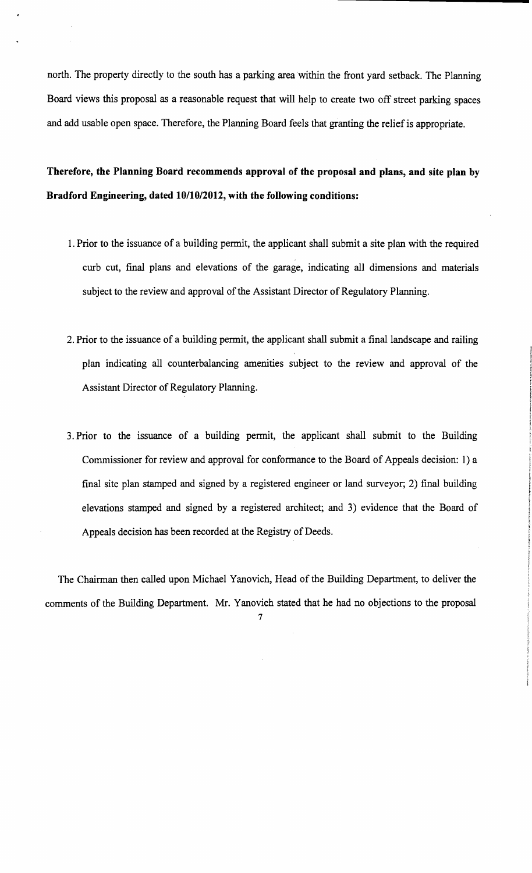north. The property directly to the south has a parking area within the front yard setback. The Planning Board views this proposal as a reasonable request that will help to create two off street parking spaces and add usable open space. Therefore, the Planning Board feels that granting the relief is appropriate.

**Therefore, the Planning Board recommends approval of the proposal and plans, and site plan by Bradford Engineering, dated 10/10/2012, with the following conditions:** 

- 1. Prior to the issuance of a building permit, the applicant shall submit a site plan with the required curb cut, fmal plans and elevations of the garage, indicating all dimensions and materials subject to the review and approval of the Assistant Director of Regulatory Planning.
- 2. Prior to the issuance of a building permit, the applicant shall submit a final landscape and railing plan indicating all counterbalancing amenities subject to the review and approval of the Assistant Director of Regulatory Planning.
- 3. Prior to the issuance of a building permit, the applicant shall submit to the Building Commissioner for review and approval for conformance to the Board of Appeals decision: 1) a final site plan stamped and signed by a registered engineer or land surveyor; 2) final building elevations stamped and signed by a registered architect; and 3) evidence that the Board of Appeals decision has been recorded at the Registry of Deeds.

The Chairman then called upon Michael Yanovich, Head of the Building Department, to deliver the comments of the Building Department. Mr. Yanovich stated that he had no objections to the proposal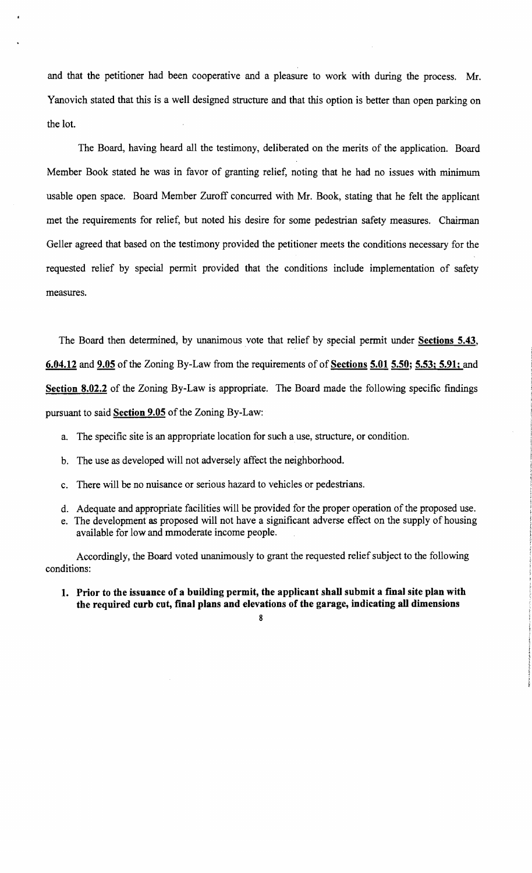and that the petitioner had been cooperative and a pleasure to work with during the process. Mr. Yanovich stated that this is a well designed structure and that this option is better than open parking on the lot.

The Board, having heard all the testimony, deliberated on the merits of the application. Board Member Book stated he was in favor of granting relief, noting that he had no issues with minimum usable open space. Board Member Zuroff concurred with Mr. Book, stating that he felt the applicant met the requirements for relief, but noted his desire for some pedestrian safety measures. Chairman Geller agreed that based on the testimony provided the petitioner meets the conditions necessary for the requested relief by special permit provided that the conditions include implementation of safety measures.

The Board then determined, by unanimous vote that relief by special permit under Sections 5.43, 6.04.12 and 9.05 of the Zoning By-Law from the requirements of of Sections 5.01 5.50; 5.53; 5.91; and Section 8.02.2 of the Zoning By-Law is appropriate. The Board made the following specific findings pursuant to said Section 9.05 of the Zoning By-Law:

- a. The specific site is an appropriate location for such a use, structure, or condition.
- b. The use as developed will not adversely affect the neighborhood.
- c. There will be no nuisance or serious hazard to vehicles or pedestrians.
- d. Adequate and appropriate facilities will be provided for the proper operation of the proposed use.
- e. The development as proposed will not have a significant adverse effect on the supply of housing available for low and mmoderate income people.

Accordingly, the Board voted unanimously to grant the requested relief subject to the following conditions:

1. Prior to the issuance of a building permit, the applicant shall submit a fmal site plan with the required curb cut, final plans and elevations of the garage, indicating all dimensions